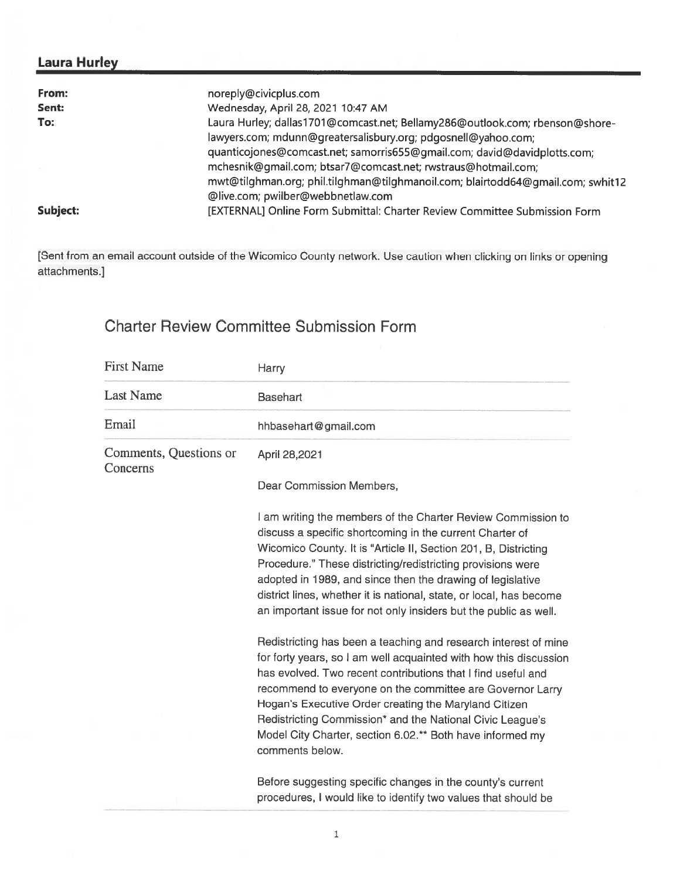## Laura Hurley

| From:    | noreply@civicplus.com                                                           |
|----------|---------------------------------------------------------------------------------|
| Sent:    | Wednesday, April 28, 2021 10:47 AM                                              |
| To:      | Laura Hurley; dallas1701@comcast.net; Bellamy286@outlook.com; rbenson@shore-    |
|          | lawyers.com; mdunn@greatersalisbury.org; pdgosnell@yahoo.com;                   |
|          | quanticojones@comcast.net; samorris655@gmail.com; david@davidplotts.com;        |
|          | mchesnik@gmail.com; btsar7@comcast.net; rwstraus@hotmail.com;                   |
|          | mwt@tilghman.org; phil.tilghman@tilghmanoil.com; blairtodd64@qmail.com; swhit12 |
|          | @live.com; pwilber@webbnetlaw.com                                               |
| Subject: | [EXTERNAL] Online Form Submittal: Charter Review Committee Submission Form      |

[Sent from an email account outside of the Wicomico County network. Use caution when clicking on links or opening attachments.]

## Charter Review Committee Submission Form

| <b>First Name</b>                  | Harry                                                                                                                                                                                                                                                                                                                                                                                                                                                                   |
|------------------------------------|-------------------------------------------------------------------------------------------------------------------------------------------------------------------------------------------------------------------------------------------------------------------------------------------------------------------------------------------------------------------------------------------------------------------------------------------------------------------------|
| <b>Last Name</b>                   | Basehart                                                                                                                                                                                                                                                                                                                                                                                                                                                                |
| Email                              | hhbasehart@gmail.com                                                                                                                                                                                                                                                                                                                                                                                                                                                    |
| Comments, Questions or<br>Concerns | April 28,2021                                                                                                                                                                                                                                                                                                                                                                                                                                                           |
|                                    | Dear Commission Members,                                                                                                                                                                                                                                                                                                                                                                                                                                                |
|                                    | I am writing the members of the Charter Review Commission to<br>discuss a specific shortcoming in the current Charter of<br>Wicomico County. It is "Article II, Section 201, B, Districting<br>Procedure." These districting/redistricting provisions were<br>adopted in 1989, and since then the drawing of legislative<br>district lines, whether it is national, state, or local, has become<br>an important issue for not only insiders but the public as well.     |
|                                    | Redistricting has been a teaching and research interest of mine<br>for forty years, so I am well acquainted with how this discussion<br>has evolved. Two recent contributions that I find useful and<br>recommend to everyone on the committee are Governor Larry<br>Hogan's Executive Order creating the Maryland Citizen<br>Redistricting Commission* and the National Civic League's<br>Model City Charter, section 6.02.** Both have informed my<br>comments below. |
|                                    | Before suggesting specific changes in the county's current<br>procedures, I would like to identify two values that should be                                                                                                                                                                                                                                                                                                                                            |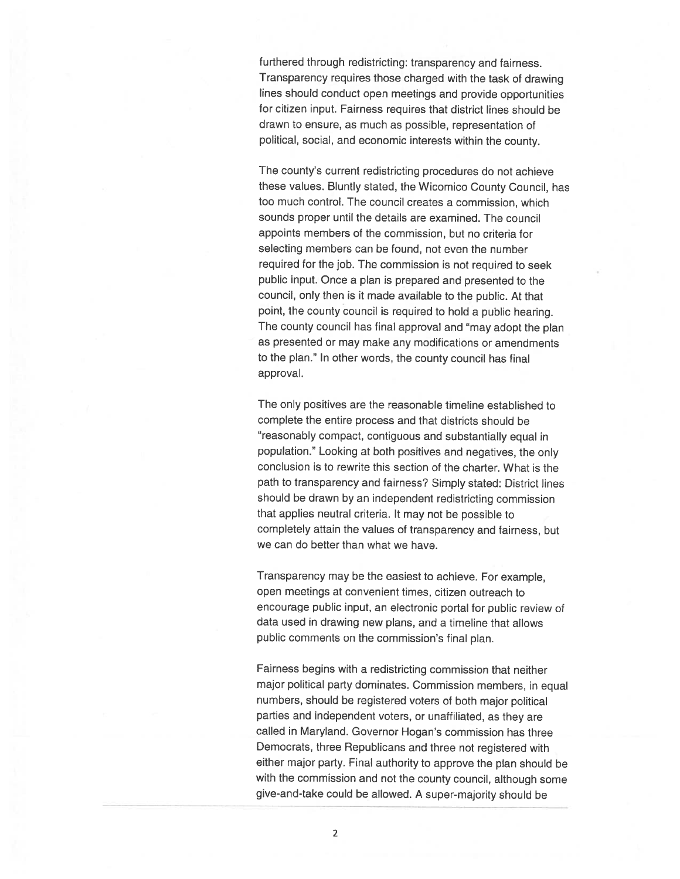furthered through redistricting: transparency and fairness. Transparency requires those charged with the task of drawing lines should conduct open meetings and provide opportunities for citizen input. Fairness requires that district lines should be drawn to ensure, as much as possible, representation of political, social, and economic interests within the county.

The county's current redistricting procedures do not achieve these values. Bluntly stated, the Wicomico County Council, has too much control. The council creates <sup>a</sup> commission, which sounds proper until the details are examined. The council appoints members of the commission, but no criteria for selecting members can be found, not even the number required for the job. The commission is not required to seek public input. Once <sup>a</sup> <sup>p</sup>lan is prepared and presented to the council, only then is it made available to the public. At that point, the county council is required to hold <sup>a</sup> public hearing. The county council has final approval and "may adopt the <sup>p</sup>lan as presented or may make any modifications or amendments to the <sup>p</sup>lan." In other words, the county council has final approval.

The only positives are the reasonable timeline established to complete the entire process and that districts should be "reasonably compact, contiguous and substantially equal in population." Looking at both positives and negatives, the only conclusion is to rewrite this section of the charter. What is the path to transparency and fairness? Simply stated: District lines should be drawn by an independent redistricting commission that applies neutral criteria. It may not be possible to completely attain the values of transparency and fairness, but we can do better than what we have.

Transparency may be the easiest to achieve. For example, open meetings at convenient times, citizen outreach to encourage public input, an electronic portal for public review of data used in drawing new plans, and <sup>a</sup> timeline that allows public comments on the commission's final <sup>p</sup>lan.

Fairness begins with <sup>a</sup> redistricting commission that neither major political party dominates. Commission members, in equal numbers, should be registered voters of both major political parties and independent voters, or unaffiliated, as they are called in Maryland. Governor Hogan's commission has three Democrats, three Republicans and three not registered with either major party. Final authority to approve the <sup>p</sup>lan should be with the commission and not the county council, although some <sup>g</sup>ive-and-take could be allowed. <sup>A</sup> super-majority should be